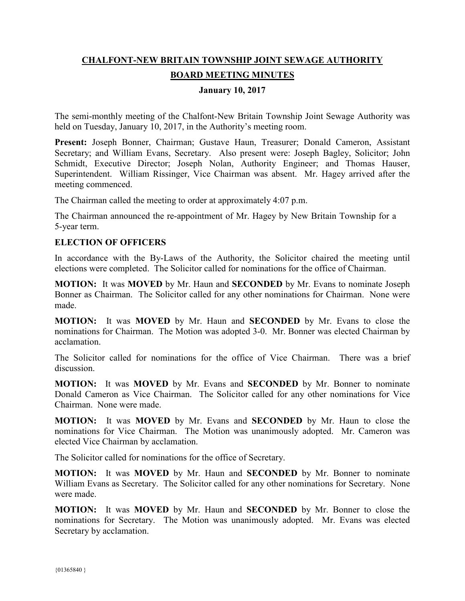# **CHALFONT-NEW BRITAIN TOWNSHIP JOINT SEWAGE AUTHORITY BOARD MEETING MINUTES**

## **January 10, 2017**

The semi-monthly meeting of the Chalfont-New Britain Township Joint Sewage Authority was held on Tuesday, January 10, 2017, in the Authority's meeting room.

**Present:** Joseph Bonner, Chairman; Gustave Haun, Treasurer; Donald Cameron, Assistant Secretary; and William Evans, Secretary. Also present were: Joseph Bagley, Solicitor; John Schmidt, Executive Director; Joseph Nolan, Authority Engineer; and Thomas Hauser, Superintendent. William Rissinger, Vice Chairman was absent. Mr. Hagey arrived after the meeting commenced.

The Chairman called the meeting to order at approximately 4:07 p.m.

The Chairman announced the re-appointment of Mr. Hagey by New Britain Township for a 5-year term.

## **ELECTION OF OFFICERS**

In accordance with the By-Laws of the Authority, the Solicitor chaired the meeting until elections were completed. The Solicitor called for nominations for the office of Chairman.

**MOTION:** It was **MOVED** by Mr. Haun and **SECONDED** by Mr. Evans to nominate Joseph Bonner as Chairman. The Solicitor called for any other nominations for Chairman. None were made.

**MOTION:** It was **MOVED** by Mr. Haun and **SECONDED** by Mr. Evans to close the nominations for Chairman. The Motion was adopted 3-0. Mr. Bonner was elected Chairman by acclamation.

The Solicitor called for nominations for the office of Vice Chairman. There was a brief discussion.

**MOTION:** It was **MOVED** by Mr. Evans and **SECONDED** by Mr. Bonner to nominate Donald Cameron as Vice Chairman. The Solicitor called for any other nominations for Vice Chairman. None were made.

**MOTION:** It was **MOVED** by Mr. Evans and **SECONDED** by Mr. Haun to close the nominations for Vice Chairman. The Motion was unanimously adopted. Mr. Cameron was elected Vice Chairman by acclamation.

The Solicitor called for nominations for the office of Secretary.

**MOTION:** It was **MOVED** by Mr. Haun and **SECONDED** by Mr. Bonner to nominate William Evans as Secretary. The Solicitor called for any other nominations for Secretary. None were made.

**MOTION:** It was **MOVED** by Mr. Haun and **SECONDED** by Mr. Bonner to close the nominations for Secretary. The Motion was unanimously adopted. Mr. Evans was elected Secretary by acclamation.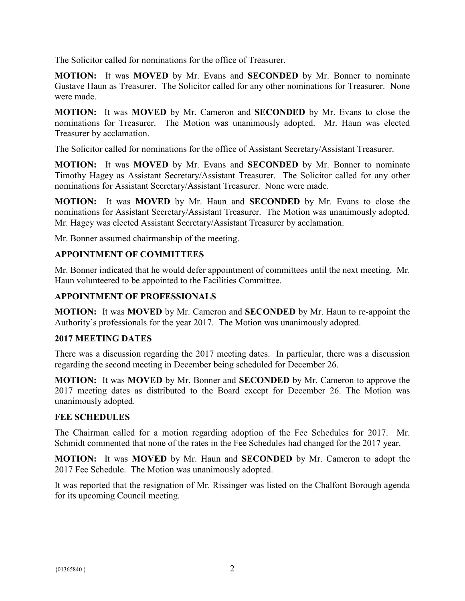The Solicitor called for nominations for the office of Treasurer.

**MOTION:** It was **MOVED** by Mr. Evans and **SECONDED** by Mr. Bonner to nominate Gustave Haun as Treasurer. The Solicitor called for any other nominations for Treasurer. None were made.

**MOTION:** It was **MOVED** by Mr. Cameron and **SECONDED** by Mr. Evans to close the nominations for Treasurer. The Motion was unanimously adopted. Mr. Haun was elected Treasurer by acclamation.

The Solicitor called for nominations for the office of Assistant Secretary/Assistant Treasurer.

**MOTION:** It was **MOVED** by Mr. Evans and **SECONDED** by Mr. Bonner to nominate Timothy Hagey as Assistant Secretary/Assistant Treasurer. The Solicitor called for any other nominations for Assistant Secretary/Assistant Treasurer. None were made.

**MOTION:** It was **MOVED** by Mr. Haun and **SECONDED** by Mr. Evans to close the nominations for Assistant Secretary/Assistant Treasurer. The Motion was unanimously adopted. Mr. Hagey was elected Assistant Secretary/Assistant Treasurer by acclamation.

Mr. Bonner assumed chairmanship of the meeting.

# **APPOINTMENT OF COMMITTEES**

Mr. Bonner indicated that he would defer appointment of committees until the next meeting. Mr. Haun volunteered to be appointed to the Facilities Committee.

# **APPOINTMENT OF PROFESSIONALS**

**MOTION:** It was **MOVED** by Mr. Cameron and **SECONDED** by Mr. Haun to re-appoint the Authority's professionals for the year 2017. The Motion was unanimously adopted.

#### **2017 MEETING DATES**

There was a discussion regarding the 2017 meeting dates. In particular, there was a discussion regarding the second meeting in December being scheduled for December 26.

**MOTION:** It was **MOVED** by Mr. Bonner and **SECONDED** by Mr. Cameron to approve the 2017 meeting dates as distributed to the Board except for December 26. The Motion was unanimously adopted.

#### **FEE SCHEDULES**

The Chairman called for a motion regarding adoption of the Fee Schedules for 2017. Mr. Schmidt commented that none of the rates in the Fee Schedules had changed for the 2017 year.

**MOTION:** It was **MOVED** by Mr. Haun and **SECONDED** by Mr. Cameron to adopt the 2017 Fee Schedule. The Motion was unanimously adopted.

It was reported that the resignation of Mr. Rissinger was listed on the Chalfont Borough agenda for its upcoming Council meeting.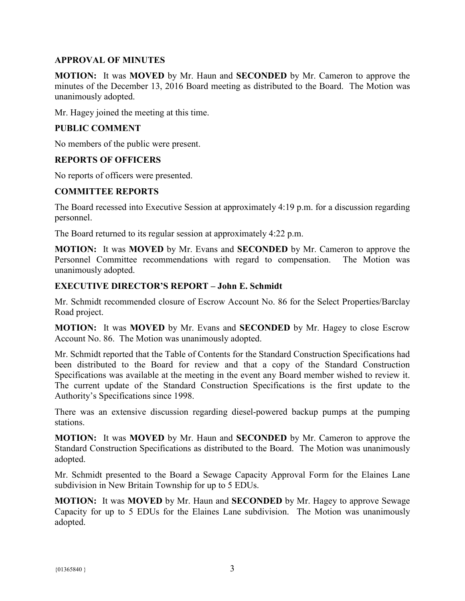# **APPROVAL OF MINUTES**

**MOTION:** It was **MOVED** by Mr. Haun and **SECONDED** by Mr. Cameron to approve the minutes of the December 13, 2016 Board meeting as distributed to the Board. The Motion was unanimously adopted.

Mr. Hagey joined the meeting at this time.

# **PUBLIC COMMENT**

No members of the public were present.

## **REPORTS OF OFFICERS**

No reports of officers were presented.

## **COMMITTEE REPORTS**

The Board recessed into Executive Session at approximately 4:19 p.m. for a discussion regarding personnel.

The Board returned to its regular session at approximately 4:22 p.m.

**MOTION:** It was **MOVED** by Mr. Evans and **SECONDED** by Mr. Cameron to approve the Personnel Committee recommendations with regard to compensation. The Motion was unanimously adopted.

## **EXECUTIVE DIRECTOR'S REPORT – John E. Schmidt**

Mr. Schmidt recommended closure of Escrow Account No. 86 for the Select Properties/Barclay Road project.

**MOTION:** It was **MOVED** by Mr. Evans and **SECONDED** by Mr. Hagey to close Escrow Account No. 86. The Motion was unanimously adopted.

Mr. Schmidt reported that the Table of Contents for the Standard Construction Specifications had been distributed to the Board for review and that a copy of the Standard Construction Specifications was available at the meeting in the event any Board member wished to review it. The current update of the Standard Construction Specifications is the first update to the Authority's Specifications since 1998.

There was an extensive discussion regarding diesel-powered backup pumps at the pumping stations.

**MOTION:** It was **MOVED** by Mr. Haun and **SECONDED** by Mr. Cameron to approve the Standard Construction Specifications as distributed to the Board. The Motion was unanimously adopted.

Mr. Schmidt presented to the Board a Sewage Capacity Approval Form for the Elaines Lane subdivision in New Britain Township for up to 5 EDUs.

**MOTION:** It was **MOVED** by Mr. Haun and **SECONDED** by Mr. Hagey to approve Sewage Capacity for up to 5 EDUs for the Elaines Lane subdivision. The Motion was unanimously adopted.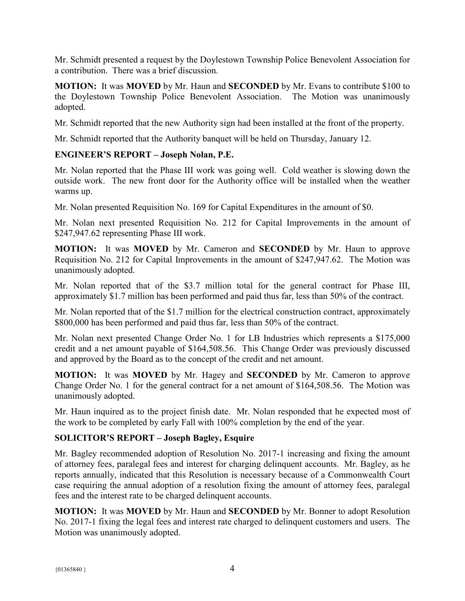Mr. Schmidt presented a request by the Doylestown Township Police Benevolent Association for a contribution. There was a brief discussion.

**MOTION:** It was **MOVED** by Mr. Haun and **SECONDED** by Mr. Evans to contribute \$100 to the Doylestown Township Police Benevolent Association. The Motion was unanimously adopted.

Mr. Schmidt reported that the new Authority sign had been installed at the front of the property.

Mr. Schmidt reported that the Authority banquet will be held on Thursday, January 12.

# **ENGINEER'S REPORT – Joseph Nolan, P.E.**

Mr. Nolan reported that the Phase III work was going well. Cold weather is slowing down the outside work. The new front door for the Authority office will be installed when the weather warms up.

Mr. Nolan presented Requisition No. 169 for Capital Expenditures in the amount of \$0.

Mr. Nolan next presented Requisition No. 212 for Capital Improvements in the amount of \$247,947.62 representing Phase III work.

**MOTION:** It was **MOVED** by Mr. Cameron and **SECONDED** by Mr. Haun to approve Requisition No. 212 for Capital Improvements in the amount of \$247,947.62. The Motion was unanimously adopted.

Mr. Nolan reported that of the \$3.7 million total for the general contract for Phase III, approximately \$1.7 million has been performed and paid thus far, less than 50% of the contract.

Mr. Nolan reported that of the \$1.7 million for the electrical construction contract, approximately \$800,000 has been performed and paid thus far, less than 50% of the contract.

Mr. Nolan next presented Change Order No. 1 for LB Industries which represents a \$175,000 credit and a net amount payable of \$164,508.56. This Change Order was previously discussed and approved by the Board as to the concept of the credit and net amount.

**MOTION:** It was **MOVED** by Mr. Hagey and **SECONDED** by Mr. Cameron to approve Change Order No. 1 for the general contract for a net amount of \$164,508.56. The Motion was unanimously adopted.

Mr. Haun inquired as to the project finish date. Mr. Nolan responded that he expected most of the work to be completed by early Fall with 100% completion by the end of the year.

# **SOLICITOR'S REPORT – Joseph Bagley, Esquire**

Mr. Bagley recommended adoption of Resolution No. 2017-1 increasing and fixing the amount of attorney fees, paralegal fees and interest for charging delinquent accounts. Mr. Bagley, as he reports annually, indicated that this Resolution is necessary because of a Commonwealth Court case requiring the annual adoption of a resolution fixing the amount of attorney fees, paralegal fees and the interest rate to be charged delinquent accounts.

**MOTION:** It was **MOVED** by Mr. Haun and **SECONDED** by Mr. Bonner to adopt Resolution No. 2017-1 fixing the legal fees and interest rate charged to delinquent customers and users. The Motion was unanimously adopted.